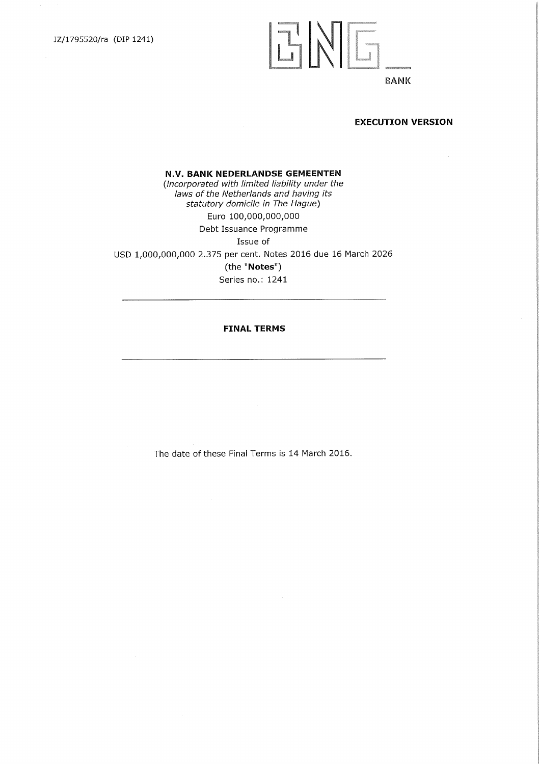# ENE

## **BANK**

## **EXECUTION VERSION**

**N.V. BANK NEDERLANDSE GEMEENTEN**  *(incorporated with limited liability under the laws of the Netherlands and haying its statutory domicile in The Hague)*  Euro 100,000,000,000 Debt Issuance Programme Issue of USD 1,000,000,000 2.375 per cent. Notes 2016 due 16 March 2026 (the "Notes") Series no.: 1241

## **FINAL TERMS**

The date of these Final Terms is 14 March 2016.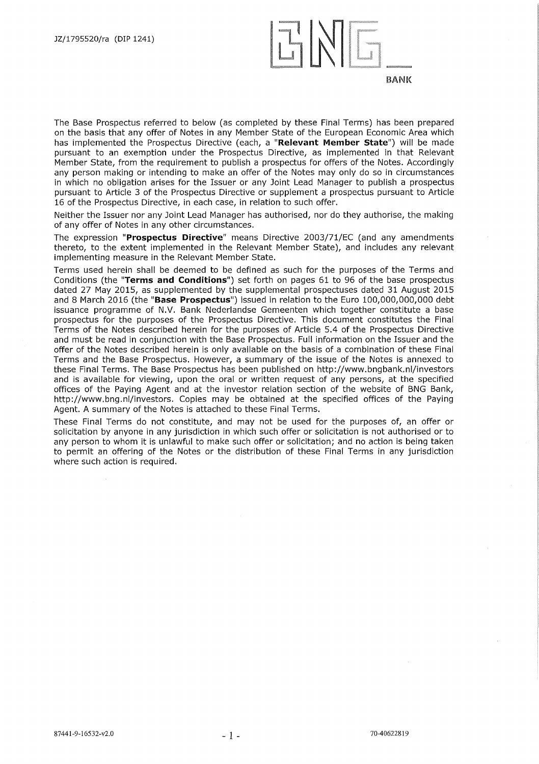

The Base Prospectus referred to below (as completed by these Final Terms) has been prepared on the basis that any offer of Notes in any Member State of the European Economic Area which has implemented the Prospectus Directive (each, a **"Relevant Member State")** will be made pursuant to an exemption under the Prospectus Directive, as implemented in that Relevant Member State, from the requirement to publish a prospectus for offers of the Notes. Accordingly any person making or intending to make an offer of the Notes may only do so in circumstances in which no obligation arises for the Issuer or any Joint Lead Manager to publish a prospectus pursuant to Article 3 of the Prospectus Directive or supplement a prospectus pursuant to Article 16 of the Prospectus Directive, in each case, in relation to such offer.

Neither the Issuer nor any Joint Lead Manager has authorised, nor do they authorise, the making of any offer of Notes in any other circumstances.

The expression **"Prospectus Directive"** means Directive 2003/71/EC (and any amendments thereto, to the extent implemented in the Relevant Member State), and includes any relevant implementing measure in the Relevant Member State.

Terms used herein shall be deemed to be defined as such for the purposes of the Terms and Conditions (the **"Terms and Conditions")** set forth on pages 61 to 96 of the base prospectus dated 27 May 2015, as supplemented by the supplemental prospectuses dated 31 August 2015 and 8 March 2016 (the **"Base Prospectus")** issued in relation to the Euro 100,000,000,000 debt issuance programme of N.V. Bank Nederlandse Gemeenten which together constitute a base prospectus for the purposes of the Prospectus Directive. This document constitutes the Final Terms of the Notes described herein for the purposes of Article 5.4 of the Prospectus Directive and must be read in conjunction with the Base Prospectus. Full information on the Issuer and the offer of the Notes described herein is only available on the basis of a combination of these Final Terms and the Base Prospectus. However, a summary of the issue of the Notes is annexed to these Final Terms. The Base Prospectus has been published on http://www.bngbank.nl/investors and is available for viewing, upon the oral or written request of any persons, at the specified offices of the Paying Agent and at the investor relation section of the website of BNG Bank, http://www.bng.nl/investors. Copies may be obtained at the specified offices of the Paying Agent. A summary of the Notes is attached to these Final Terms.

These Final Terms do not constitute, and may not be used for the purposes of, an offer or solicitation by anyone in any jurisdiction in which such offer or solicitation is not authorised or to any person to whom it is unlawful to make such offer or solicitation; and no action is being taken to permit an offering of the Notes or the distribution of these Final Terms in any jurisdiction where such action is required.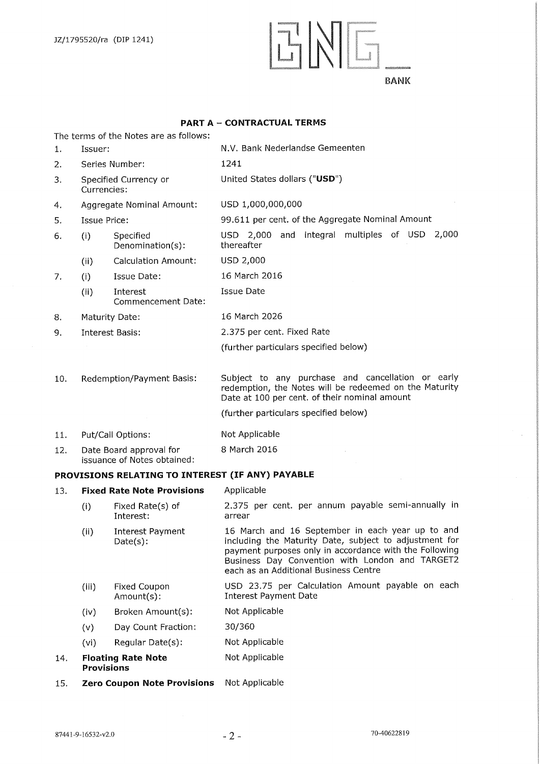## ENG

## **BANK**

## **PART A — CONTRACTUAL TERMS**

The terms of the Notes are as follows:

| 1.  | Issuer:                                        |                                                        | N.V. Bank Nederlandse Gemeenten                                                                                                                                                                                                                                  |  |  |  |
|-----|------------------------------------------------|--------------------------------------------------------|------------------------------------------------------------------------------------------------------------------------------------------------------------------------------------------------------------------------------------------------------------------|--|--|--|
| 2.  | Series Number:                                 |                                                        | 1241                                                                                                                                                                                                                                                             |  |  |  |
| 3.  | Specified Currency or<br>Currencies:           |                                                        | United States dollars ("USD")                                                                                                                                                                                                                                    |  |  |  |
| 4.  | Aggregate Nominal Amount:                      |                                                        | USD 1,000,000,000                                                                                                                                                                                                                                                |  |  |  |
| 5.  | <b>Issue Price:</b>                            |                                                        | 99.611 per cent. of the Aggregate Nominal Amount                                                                                                                                                                                                                 |  |  |  |
| 6.  | (i)<br>Specified<br>Denomination(s):           |                                                        | USD 2,000 and integral multiples of USD<br>2,000<br>thereafter                                                                                                                                                                                                   |  |  |  |
|     | (ii)                                           | <b>Calculation Amount:</b>                             | USD 2,000                                                                                                                                                                                                                                                        |  |  |  |
| 7.  | (i)                                            | Issue Date:                                            | 16 March 2016                                                                                                                                                                                                                                                    |  |  |  |
|     | (ii)                                           | Interest<br>Commencement Date:                         | Issue Date                                                                                                                                                                                                                                                       |  |  |  |
| 8.  |                                                | Maturity Date:                                         | 16 March 2026                                                                                                                                                                                                                                                    |  |  |  |
| 9.  |                                                | <b>Interest Basis:</b>                                 | 2.375 per cent. Fixed Rate                                                                                                                                                                                                                                       |  |  |  |
|     |                                                |                                                        | (further particulars specified below)                                                                                                                                                                                                                            |  |  |  |
|     |                                                |                                                        |                                                                                                                                                                                                                                                                  |  |  |  |
| 10. |                                                | Redemption/Payment Basis:                              | Subject to any purchase and cancellation or early<br>redemption, the Notes will be redeemed on the Maturity<br>Date at 100 per cent. of their nominal amount                                                                                                     |  |  |  |
|     |                                                |                                                        | (further particulars specified below)                                                                                                                                                                                                                            |  |  |  |
| 11. |                                                | Put/Call Options:                                      | Not Applicable                                                                                                                                                                                                                                                   |  |  |  |
| 12. |                                                | Date Board approval for<br>issuance of Notes obtained: | 8 March 2016                                                                                                                                                                                                                                                     |  |  |  |
|     |                                                | PROVISIONS RELATING TO INTEREST (IF ANY) PAYABLE       |                                                                                                                                                                                                                                                                  |  |  |  |
| 13. |                                                | <b>Fixed Rate Note Provisions</b>                      | Applicable                                                                                                                                                                                                                                                       |  |  |  |
|     | (i)                                            | Fixed Rate(s) of<br>Interest:                          | 2.375 per cent. per annum payable semi-annually in<br>arrear                                                                                                                                                                                                     |  |  |  |
|     | (i)                                            | Interest Payment<br>$Date(s)$ :                        | 16 March and 16 September in each year up to and<br>including the Maturity Date, subject to adjustment for<br>payment purposes only in accordance with the Following<br>Business Day Convention with London and TARGET2<br>each as an Additional Business Centre |  |  |  |
|     | (iii)                                          | <b>Fixed Coupon</b><br>Amount(s):                      | USD 23.75 per Calculation Amount payable on each<br><b>Interest Payment Date</b>                                                                                                                                                                                 |  |  |  |
|     | (iv)                                           | Broken Amount(s):                                      | Not Applicable                                                                                                                                                                                                                                                   |  |  |  |
|     | (v)                                            | Day Count Fraction:                                    | 30/360                                                                                                                                                                                                                                                           |  |  |  |
|     | (vi)                                           | Regular Date(s):                                       | Not Applicable                                                                                                                                                                                                                                                   |  |  |  |
| 14. | <b>Floating Rate Note</b><br><b>Provisions</b> |                                                        | Not Applicable                                                                                                                                                                                                                                                   |  |  |  |

15. **Zero Coupon Note Provisions**  Not Applicable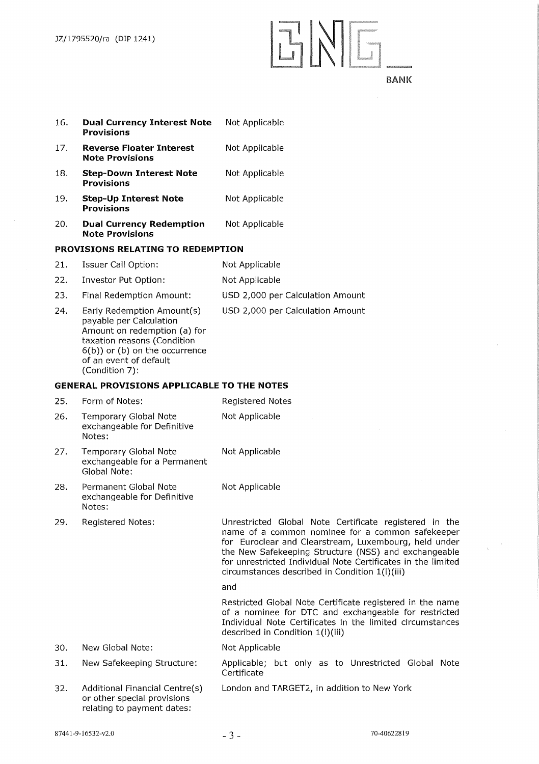## ENE.

| 16. | <b>Dual Currency Interest Note</b><br><b>Provisions</b>                                                                                                                                               | Not Applicable                                                                                                                                                                                                                                                                                                                                |
|-----|-------------------------------------------------------------------------------------------------------------------------------------------------------------------------------------------------------|-----------------------------------------------------------------------------------------------------------------------------------------------------------------------------------------------------------------------------------------------------------------------------------------------------------------------------------------------|
| 17. | <b>Reverse Floater Interest</b><br><b>Note Provisions</b>                                                                                                                                             | Not Applicable                                                                                                                                                                                                                                                                                                                                |
| 18. | <b>Step-Down Interest Note</b><br><b>Provisions</b>                                                                                                                                                   | Not Applicable                                                                                                                                                                                                                                                                                                                                |
| 19. | <b>Step-Up Interest Note</b><br><b>Provisions</b>                                                                                                                                                     | Not Applicable                                                                                                                                                                                                                                                                                                                                |
| 20. | <b>Dual Currency Redemption</b><br><b>Note Provisions</b>                                                                                                                                             | Not Applicable                                                                                                                                                                                                                                                                                                                                |
|     | <b>PROVISIONS RELATING TO REDEMPTION</b>                                                                                                                                                              |                                                                                                                                                                                                                                                                                                                                               |
| 21. | <b>Issuer Call Option:</b>                                                                                                                                                                            | Not Applicable                                                                                                                                                                                                                                                                                                                                |
| 22. | Investor Put Option:                                                                                                                                                                                  | Not Applicable                                                                                                                                                                                                                                                                                                                                |
| 23. | Final Redemption Amount:                                                                                                                                                                              | USD 2,000 per Calculation Amount                                                                                                                                                                                                                                                                                                              |
| 24. | Early Redemption Amount(s)<br>payable per Calculation<br>Amount on redemption (a) for<br>taxation reasons (Condition<br>$6(b)$ ) or (b) on the occurrence<br>of an event of default<br>(Condition 7): | USD 2,000 per Calculation Amount                                                                                                                                                                                                                                                                                                              |
|     | <b>GENERAL PROVISIONS APPLICABLE TO THE NOTES</b>                                                                                                                                                     |                                                                                                                                                                                                                                                                                                                                               |
| 25. | Form of Notes:                                                                                                                                                                                        | Registered Notes                                                                                                                                                                                                                                                                                                                              |
| 26. | <b>Temporary Global Note</b><br>exchangeable for Definitive<br>Notes:                                                                                                                                 | Not Applicable                                                                                                                                                                                                                                                                                                                                |
| 27. | Temporary Global Note<br>exchangeable for a Permanent<br>Global Note:                                                                                                                                 | Not Applicable                                                                                                                                                                                                                                                                                                                                |
| 28. | Permanent Global Note<br>exchangeable for Definitive<br>Notes:                                                                                                                                        | Not Applicable                                                                                                                                                                                                                                                                                                                                |
| 29. | <b>Registered Notes:</b>                                                                                                                                                                              | Unrestricted Global Note Certificate registered in the<br>name of a common nominee for a common safekeeper<br>for Euroclear and Clearstream, Luxembourg, held under<br>the New Safekeeping Structure (NSS) and exchangeable<br>for unrestricted Individual Note Certificates in the limited<br>circumstances described in Condition 1(I)(iii) |
|     |                                                                                                                                                                                                       | and                                                                                                                                                                                                                                                                                                                                           |
|     |                                                                                                                                                                                                       | Restricted Global Note Certificate registered in the name<br>of a nominee for DTC and exchangeable for restricted<br>Individual Note Certificates in the limited circumstances<br>described in Condition 1(I)(iii)                                                                                                                            |
| 30. | New Global Note:                                                                                                                                                                                      | Not Applicable                                                                                                                                                                                                                                                                                                                                |
| 31. | New Safekeeping Structure:                                                                                                                                                                            | Applicable; but only as to Unrestricted Global Note<br>Certificate                                                                                                                                                                                                                                                                            |
| 32. | Additional Financial Centre(s)<br>or other special provisions<br>relating to payment dates:                                                                                                           | London and TARGET2, in addition to New York                                                                                                                                                                                                                                                                                                   |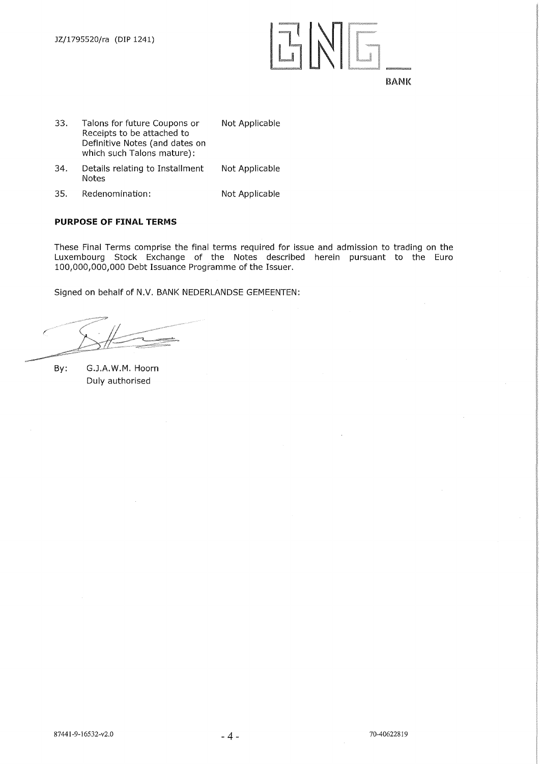

- 33. Talons for future Coupons or Receipts to be attached to Definitive Notes (and dates on which such Talons mature): Not Applicable
- 34. Details relating to Installment Notes Not Applicable
- 35. Redenomination: Not Applicable

## **PURPOSE OF FINAL TERMS**

These Final Terms comprise the final terms required for issue and admission to trading on the Luxembourg Stock Exchange of the Notes described herein pursuant to the Euro 100,000,000,000 Debt Issuance Programme of the Issuer.

Signed on behalf of N.V. BANK NEDERLANDSE GEMEENTEN:

By: G.J.A.W.M. Hoorn Duly authorised

\_\_\_\_\_\_\_\_\_\_\_\_\_\_\_\_\_\_\_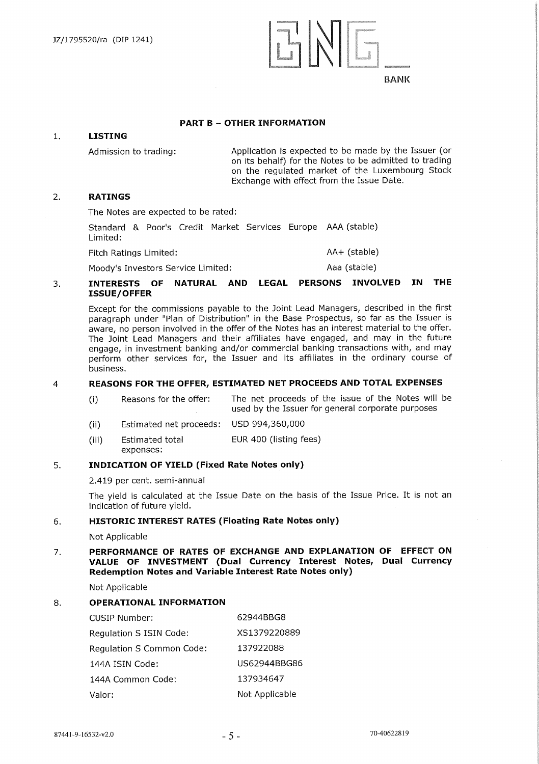<sup>I</sup>*FiE.4* 

## **PART B — OTHER INFORMATION**

## 1. **LISTING**

Admission to trading: Application is expected to be made by the Issuer (or on its behalf) for the Notes to be admitted to trading on the regulated market of the Luxembourg Stock Exchange with effect from the Issue Date.

## **2. RATINGS**

The Notes are expected to be rated:

Standard & Poor's Credit Market Services Europe AAA (stable) Limited: Fitch Ratings Limited:  $AA+$  (stable)

Moody's Investors Service Limited: Moody's Investors Service Limited:

## **3. INTERESTS OF NATURAL AND LEGAL PERSONS INVOLVED IN THE ISSUE! OFFER**

Except for the commissions payable to the Joint Lead Managers, described in the first paragraph under "Plan of Distribution" in the Base Prospectus, so far as the Issuer is aware, no person involved in the offer of the Notes has an interest material to the offer. The Joint Lead Managers and their affiliates have engaged, and may in the future engage, in investment banking and/or commercial banking transactions with, and may perform other services for, the Issuer and its affiliates in the ordinary course of business.

## 4 **REASONS FOR THE OFFER, ESTIMATED NET PROCEEDS AND TOTAL EXPENSES**

- The net proceeds of the issue of the Notes will be used by the Issuer for general corporate purposes (I) Reasons for the offer:
- USD 994,360,000 (ii) Estimated net proceeds:
- EUR 400 (listing fees) (iii) Estimated total
- expenses:

## **5. INDICATION OF YIELD (Fixed Rate Notes only)**

2.419 per cent. semi-annual

The yield is calculated at the Issue Date on the basis of the Issue Price. It is not an indication of future yield.

## **6. HISTORIC INTEREST RATES (Floating Rate Notes only)**

Not Applicable

## **7. PERFORMANCE OF RATES OF EXCHANGE AND EXPLANATION OF EFFECT ON VALUE OF INVESTMENT (Dual Currency Interest Notes, Dual Currency Redemption Notes and Variable Interest Rate Notes only)**

Not Applicable

## 8. **OPERATIONAL INFORMATION**

| CUSIP Number:             | 62944BBG8      |
|---------------------------|----------------|
| Regulation S ISIN Code:   | XS1379220889   |
| Regulation S Common Code: | 137922088      |
| 144A ISIN Code:           | US62944BBG86   |
| 144A Common Code:         | 137934647      |
| Valor:                    | Not Applicable |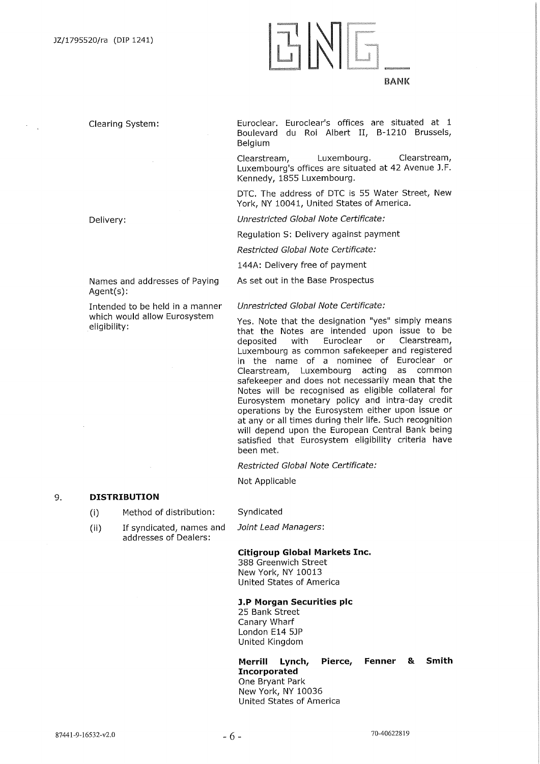## Clearing System:

Euroclear. Euroclear's offices are situated at 1 Boulevard du Roi Albert II, B-1210 Brussels, Belgium

Clearstream, Luxembourg. Clearstream, Luxembourg's offices are situated at 42 Avenue J.F. Kennedy, 1855 Luxembourg.

DTC. The address of DTC is 55 Water Street, New York, NY 10041, United States of America.

*Unrestricted Global Note Certificate:* 

Regulation S: Delivery against payment

*Restricted Global Note Certificate:* 

144A: Delivery free of payment

As set out in the Base Prospectus

### *Unrestricted Global Note Certificate:*

Yes. Note that the designation "yes" simply means that the Notes are intended upon issue to be deposited with Euroclear or Clearstream, Luxembourg as common safekeeper and registered in the name of a nominee of Euroclear or Clearstream, Luxembourg acting as common safekeeper and does not necessarily mean that the Notes will be recognised as eligible collateral for Eurosystem monetary policy and intra-day credit operations by the Eurosystem either upon issue or at any or all times during their life. Such recognition will depend upon the European Central Bank being satisfied that Eurosystem eligibility criteria have been met.

*Restricted Global Note Certificate:* 

Not Applicable

Syndicated

## 9. **DISTRIBUTION**

 $(i)$ Method of distribution:

Names and addresses of Paying

Intended to be held in a manner which would allow Eurosystem

 $(i)$ If syndicated, names and addresses of Dealers:

*Joint Lead Managers:* 

## **Citigroup Global Markets Inc.**

388 Greenwich Street New York, NY 10013 United States of America

## **3.P Morgan Securities plc**

25 Bank Street Canary Wharf London E14 53P United Kingdom

**Merrill Lynch, Pierce, Fenner & Smith Incorporated**  One Bryant Park New York, NY 10036 United States of America

Delivery:

Agent(s):

eligibility: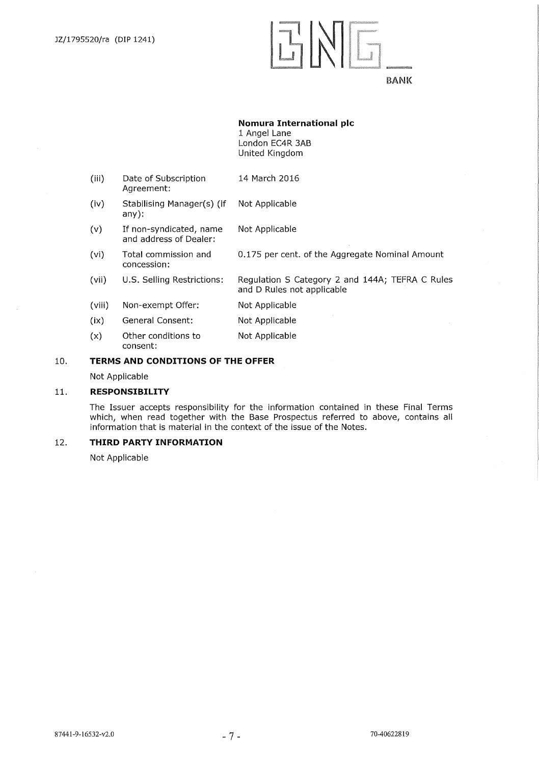## ENE

## BANK

## **Nomura International plc**

1 Angel Lane London EC4R 3AB United Kingdom

- (iii) Date of Subscription 14 March 2016 Agreement:
- (iv) Stabilising Manager(s) (if Not Applicable any):
- (v) If non-syndicated, name Not Applicable and address of Dealer:
- (vi) Total commission and 0.175 per cent. of the Aggregate Nominal Amount concession:
- (vii) U.S. Selling Restrictions: Regulation S Category 2 and 144A; TEFRA C Rules and D Rules not applicable
- (viii) Non-exempt Offer: Not Applicable
- (ix) General Consent: Not Applicable
- (x) Other conditions to Not Applicable consent:

## **10. TERMS AND CONDITIONS OF THE OFFER**

Not Applicable

## **11. RESPONSIBILITY**

The Issuer accepts responsibility for the information contained in these Final Terms which, when read together with the Base Prospectus referred to above, contains all information that is material in the context of the issue of the Notes.

## **12. THIRD PARTY INFORMATION**

Not Applicable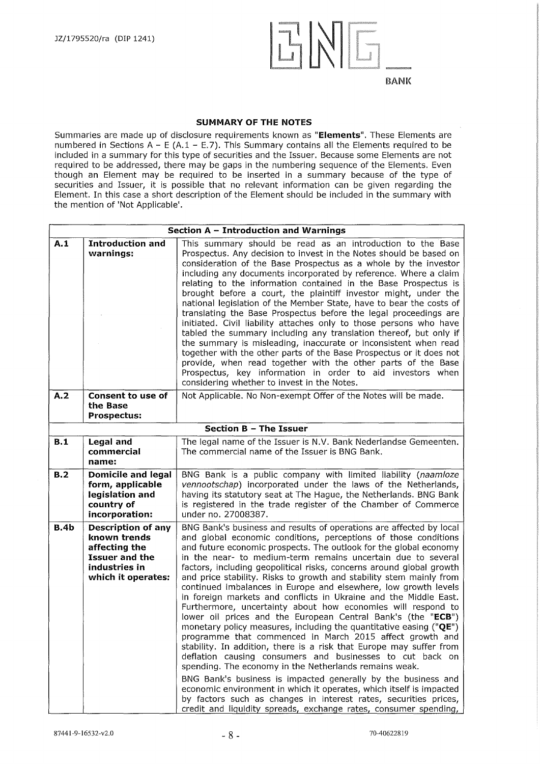

## **SUMMARY OF THE NOTES**

Summaries are made up of disclosure requirements known as **"Elements".** These Elements are numbered in Sections  $A - E (A.1 - E.7)$ . This Summary contains all the Elements required to be included in a summary for this type of securities and the Issuer. Because some Elements are not required to be addressed, there may be gaps in the numbering sequence of the Elements. Even though an Element may be required to be inserted in a summary because of the type of securities and Issuer, it is possible that no relevant information can be given regarding the Element. In this case a short description of the Element should be included in the summary with the mention of 'Not Applicable'.

|             | Section A - Introduction and Warnings                                                                                      |                                                                                                                                                                                                                                                                                                                                                                                                                                                                                                                                                                                                                                                                                                                                                                                                                                                                                                                                                                                                                                                                                                                                                                                                                                                                                                                       |  |  |  |
|-------------|----------------------------------------------------------------------------------------------------------------------------|-----------------------------------------------------------------------------------------------------------------------------------------------------------------------------------------------------------------------------------------------------------------------------------------------------------------------------------------------------------------------------------------------------------------------------------------------------------------------------------------------------------------------------------------------------------------------------------------------------------------------------------------------------------------------------------------------------------------------------------------------------------------------------------------------------------------------------------------------------------------------------------------------------------------------------------------------------------------------------------------------------------------------------------------------------------------------------------------------------------------------------------------------------------------------------------------------------------------------------------------------------------------------------------------------------------------------|--|--|--|
| A.1         | <b>Introduction and</b><br>warnings:                                                                                       | This summary should be read as an introduction to the Base<br>Prospectus. Any decision to invest in the Notes should be based on<br>consideration of the Base Prospectus as a whole by the investor<br>including any documents incorporated by reference. Where a claim<br>relating to the information contained in the Base Prospectus is<br>brought before a court, the plaintiff investor might, under the<br>national legislation of the Member State, have to bear the costs of<br>translating the Base Prospectus before the legal proceedings are<br>initiated. Civil liability attaches only to those persons who have<br>tabled the summary including any translation thereof, but only if<br>the summary is misleading, inaccurate or inconsistent when read<br>together with the other parts of the Base Prospectus or it does not<br>provide, when read together with the other parts of the Base<br>Prospectus, key information in order to aid investors when<br>considering whether to invest in the Notes.                                                                                                                                                                                                                                                                                            |  |  |  |
| A.2         | <b>Consent to use of</b><br>the Base<br>Prospectus:                                                                        | Not Applicable. No Non-exempt Offer of the Notes will be made.                                                                                                                                                                                                                                                                                                                                                                                                                                                                                                                                                                                                                                                                                                                                                                                                                                                                                                                                                                                                                                                                                                                                                                                                                                                        |  |  |  |
|             |                                                                                                                            | <b>Section B - The Issuer</b>                                                                                                                                                                                                                                                                                                                                                                                                                                                                                                                                                                                                                                                                                                                                                                                                                                                                                                                                                                                                                                                                                                                                                                                                                                                                                         |  |  |  |
| B.1         | <b>Legal and</b><br>commercial<br>name:                                                                                    | The legal name of the Issuer is N.V. Bank Nederlandse Gemeenten.<br>The commercial name of the Issuer is BNG Bank.                                                                                                                                                                                                                                                                                                                                                                                                                                                                                                                                                                                                                                                                                                                                                                                                                                                                                                                                                                                                                                                                                                                                                                                                    |  |  |  |
| B.2         | <b>Domicile and legal</b><br>form, applicable<br>legislation and<br>country of<br>incorporation:                           | BNG Bank is a public company with limited liability (naamloze<br>vennootschap) incorporated under the laws of the Netherlands,<br>having its statutory seat at The Hague, the Netherlands. BNG Bank<br>is registered in the trade register of the Chamber of Commerce<br>under no. 27008387.                                                                                                                                                                                                                                                                                                                                                                                                                                                                                                                                                                                                                                                                                                                                                                                                                                                                                                                                                                                                                          |  |  |  |
| <b>B.4b</b> | <b>Description of any</b><br>known trends<br>affecting the<br><b>Issuer and the</b><br>industries in<br>which it operates: | BNG Bank's business and results of operations are affected by local<br>and global economic conditions, perceptions of those conditions<br>and future economic prospects. The outlook for the global economy<br>in the near- to medium-term remains uncertain due to several<br>factors, including geopolitical risks, concerns around global growth<br>and price stability. Risks to growth and stability stem mainly from<br>continued imbalances in Europe and elsewhere, low growth levels<br>in foreign markets and conflicts in Ukraine and the Middle East.<br>Furthermore, uncertainty about how economies will respond to<br>lower oil prices and the European Central Bank's (the "ECB")<br>monetary policy measures, including the quantitative easing (" $QE$ ")<br>programme that commenced in March 2015 affect growth and<br>stability. In addition, there is a risk that Europe may suffer from<br>deflation causing consumers and businesses to cut back on<br>spending. The economy in the Netherlands remains weak.<br>BNG Bank's business is impacted generally by the business and<br>economic environment in which it operates, which itself is impacted<br>by factors such as changes in interest rates, securities prices,<br>credit and liquidity spreads, exchange rates, consumer spending, |  |  |  |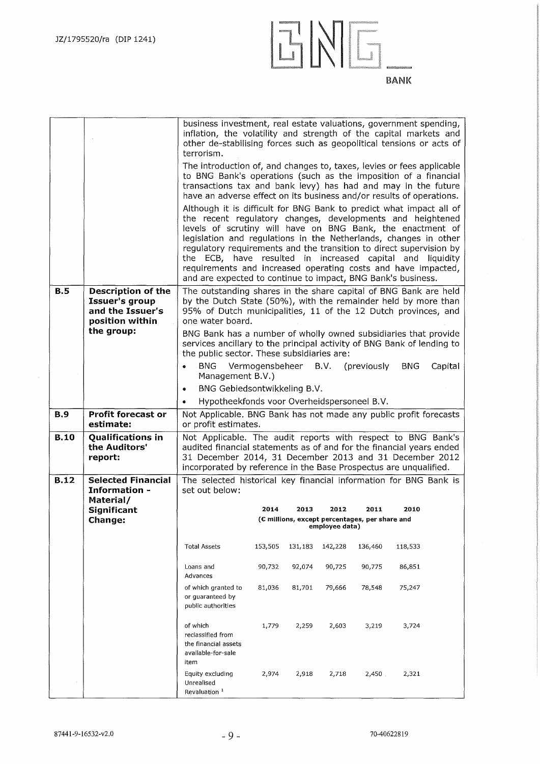

|             |                                                                                           | business investment, real estate valuations, government spending,<br>inflation, the volatility and strength of the capital markets and<br>other de-stabilising forces such as geopolitical tensions or acts of                                                                                                                                                                                                                                                                                                                                                                                                                                                                                                                                                                                                                              |                 |         |                        |                                                        |            |         |
|-------------|-------------------------------------------------------------------------------------------|---------------------------------------------------------------------------------------------------------------------------------------------------------------------------------------------------------------------------------------------------------------------------------------------------------------------------------------------------------------------------------------------------------------------------------------------------------------------------------------------------------------------------------------------------------------------------------------------------------------------------------------------------------------------------------------------------------------------------------------------------------------------------------------------------------------------------------------------|-----------------|---------|------------------------|--------------------------------------------------------|------------|---------|
|             |                                                                                           | terrorism.<br>The introduction of, and changes to, taxes, levies or fees applicable<br>to BNG Bank's operations (such as the imposition of a financial<br>transactions tax and bank levy) has had and may in the future<br>have an adverse effect on its business and/or results of operations.<br>Although it is difficult for BNG Bank to predict what impact all of<br>the recent regulatory changes, developments and heightened<br>levels of scrutiny will have on BNG Bank, the enactment of<br>legislation and regulations in the Netherlands, changes in other<br>regulatory requirements and the transition to direct supervision by<br>the ECB, have resulted in increased capital and liquidity<br>requirements and increased operating costs and have impacted,<br>and are expected to continue to impact, BNG Bank's business. |                 |         |                        |                                                        |            |         |
| B.5         | <b>Description of the</b><br><b>Issuer's group</b><br>and the Issuer's<br>position within | The outstanding shares in the share capital of BNG Bank are held<br>by the Dutch State (50%), with the remainder held by more than<br>95% of Dutch municipalities, 11 of the 12 Dutch provinces, and<br>one water board.                                                                                                                                                                                                                                                                                                                                                                                                                                                                                                                                                                                                                    |                 |         |                        |                                                        |            |         |
|             | the group:                                                                                | BNG Bank has a number of wholly owned subsidiaries that provide<br>services ancillary to the principal activity of BNG Bank of lending to<br>the public sector. These subsidiaries are:                                                                                                                                                                                                                                                                                                                                                                                                                                                                                                                                                                                                                                                     |                 |         |                        |                                                        |            |         |
|             |                                                                                           | <b>BNG</b><br>Management B.V.)<br>BNG Gebiedsontwikkeling B.V.<br>۰                                                                                                                                                                                                                                                                                                                                                                                                                                                                                                                                                                                                                                                                                                                                                                         | Vermogensbeheer |         | B.V.                   | (previously)                                           | <b>BNG</b> | Capital |
|             |                                                                                           | Hypotheekfonds voor Overheidspersoneel B.V.<br>$\bullet$                                                                                                                                                                                                                                                                                                                                                                                                                                                                                                                                                                                                                                                                                                                                                                                    |                 |         |                        |                                                        |            |         |
| <b>B.9</b>  | <b>Profit forecast or</b><br>estimate:                                                    | Not Applicable. BNG Bank has not made any public profit forecasts<br>or profit estimates.                                                                                                                                                                                                                                                                                                                                                                                                                                                                                                                                                                                                                                                                                                                                                   |                 |         |                        |                                                        |            |         |
| <b>B.10</b> | <b>Qualifications in</b><br>the Auditors'<br>report:                                      | Not Applicable. The audit reports with respect to BNG Bank's<br>audited financial statements as of and for the financial years ended<br>31 December 2014, 31 December 2013 and 31 December 2012<br>incorporated by reference in the Base Prospectus are unqualified.                                                                                                                                                                                                                                                                                                                                                                                                                                                                                                                                                                        |                 |         |                        |                                                        |            |         |
| <b>B.12</b> | <b>Selected Financial</b><br>Information -<br>Material/                                   | The selected historical key financial information for BNG Bank is<br>set out below:                                                                                                                                                                                                                                                                                                                                                                                                                                                                                                                                                                                                                                                                                                                                                         |                 |         |                        |                                                        |            |         |
|             | Significant<br><b>Change:</b>                                                             |                                                                                                                                                                                                                                                                                                                                                                                                                                                                                                                                                                                                                                                                                                                                                                                                                                             | 2014            | 2013    | 2012<br>employee data) | 2011<br>(€ millions, except percentages, per share and | 2010       |         |
|             |                                                                                           | <b>Total Assets</b>                                                                                                                                                                                                                                                                                                                                                                                                                                                                                                                                                                                                                                                                                                                                                                                                                         | 153,505         | 131,183 | 142,228                | 136,460                                                | 118,533    |         |
|             |                                                                                           | Loans and<br>Advances                                                                                                                                                                                                                                                                                                                                                                                                                                                                                                                                                                                                                                                                                                                                                                                                                       | 90,732          | 92,074  | 90,725                 | 90,775                                                 | 86,851     |         |
|             |                                                                                           | of which granted to<br>or guaranteed by<br>public authorities                                                                                                                                                                                                                                                                                                                                                                                                                                                                                                                                                                                                                                                                                                                                                                               | 81,036          | 81,701  | 79,666                 | 78,548                                                 | 75,247     |         |
|             |                                                                                           | of which<br>reclassified from<br>the financial assets<br>available-for-sale<br>item                                                                                                                                                                                                                                                                                                                                                                                                                                                                                                                                                                                                                                                                                                                                                         | 1,779           | 2,259   | 2,603                  | 3,219                                                  | 3,724      |         |
|             |                                                                                           | Equity excluding<br>Unrealised<br>Revaluation <sup>1</sup>                                                                                                                                                                                                                                                                                                                                                                                                                                                                                                                                                                                                                                                                                                                                                                                  | 2,974           | 2,918   | 2,718                  | 2,450                                                  | 2,321      |         |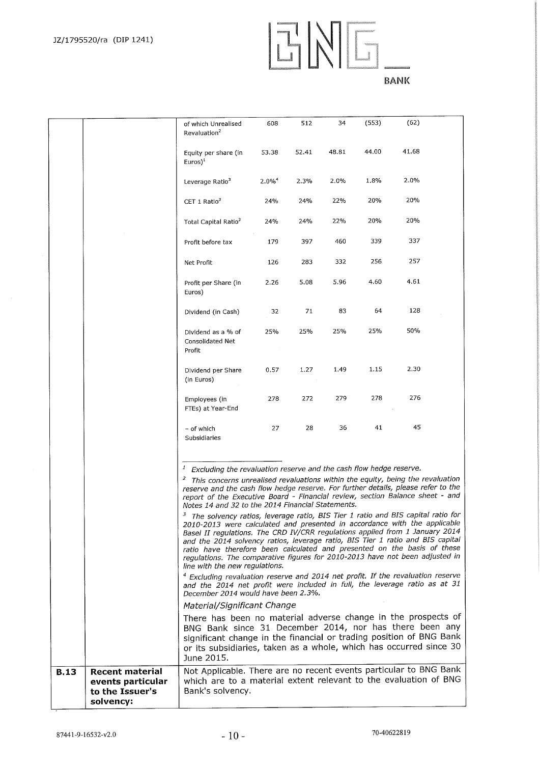## ENG. **BANK**

|             |                                                                             | of which Unrealised<br>Revaluation <sup>2</sup>                                                                                                                                                                                                                                                                                                                                                                                                                                                                                                                                                                                                                                                                                                                                                                                                                                                                                                                                                                                                                                                                                                                                                                                                                                                                                                                                                                                                                                                     | 608                  | 512   | 34    | (553) | (62)  |  |
|-------------|-----------------------------------------------------------------------------|-----------------------------------------------------------------------------------------------------------------------------------------------------------------------------------------------------------------------------------------------------------------------------------------------------------------------------------------------------------------------------------------------------------------------------------------------------------------------------------------------------------------------------------------------------------------------------------------------------------------------------------------------------------------------------------------------------------------------------------------------------------------------------------------------------------------------------------------------------------------------------------------------------------------------------------------------------------------------------------------------------------------------------------------------------------------------------------------------------------------------------------------------------------------------------------------------------------------------------------------------------------------------------------------------------------------------------------------------------------------------------------------------------------------------------------------------------------------------------------------------------|----------------------|-------|-------|-------|-------|--|
|             |                                                                             | Equity per share (in<br>Euros <sup>1</sup>                                                                                                                                                                                                                                                                                                                                                                                                                                                                                                                                                                                                                                                                                                                                                                                                                                                                                                                                                                                                                                                                                                                                                                                                                                                                                                                                                                                                                                                          | 53.38                | 52.41 | 48.81 | 44.00 | 41.68 |  |
|             |                                                                             | Leverage Ratio <sup>3</sup>                                                                                                                                                                                                                                                                                                                                                                                                                                                                                                                                                                                                                                                                                                                                                                                                                                                                                                                                                                                                                                                                                                                                                                                                                                                                                                                                                                                                                                                                         | $2.0\%$ <sup>4</sup> | 2.3%  | 2.0%  | 1.8%  | 2.0%  |  |
|             |                                                                             | CET 1 Ratio $3$                                                                                                                                                                                                                                                                                                                                                                                                                                                                                                                                                                                                                                                                                                                                                                                                                                                                                                                                                                                                                                                                                                                                                                                                                                                                                                                                                                                                                                                                                     | 24%                  | 24%   | 22%   | 20%   | 20%   |  |
|             |                                                                             | Total Capital Ratio <sup>3</sup>                                                                                                                                                                                                                                                                                                                                                                                                                                                                                                                                                                                                                                                                                                                                                                                                                                                                                                                                                                                                                                                                                                                                                                                                                                                                                                                                                                                                                                                                    | 24%                  | 24%   | 22%   | 20%   | 20%   |  |
|             |                                                                             | Profit before tax                                                                                                                                                                                                                                                                                                                                                                                                                                                                                                                                                                                                                                                                                                                                                                                                                                                                                                                                                                                                                                                                                                                                                                                                                                                                                                                                                                                                                                                                                   | 179                  | 397   | 460   | 339   | 337   |  |
|             |                                                                             | Net Profit                                                                                                                                                                                                                                                                                                                                                                                                                                                                                                                                                                                                                                                                                                                                                                                                                                                                                                                                                                                                                                                                                                                                                                                                                                                                                                                                                                                                                                                                                          | 126                  | 283   | 332   | 256   | 257   |  |
|             |                                                                             | Profit per Share (in<br>Euros)                                                                                                                                                                                                                                                                                                                                                                                                                                                                                                                                                                                                                                                                                                                                                                                                                                                                                                                                                                                                                                                                                                                                                                                                                                                                                                                                                                                                                                                                      | 2.26                 | 5.08  | 5.96  | 4.60  | 4.61  |  |
|             |                                                                             | Dividend (in Cash)                                                                                                                                                                                                                                                                                                                                                                                                                                                                                                                                                                                                                                                                                                                                                                                                                                                                                                                                                                                                                                                                                                                                                                                                                                                                                                                                                                                                                                                                                  | 32                   | 71    | 83    | 64    | 128   |  |
|             |                                                                             | Dividend as a % of<br><b>Consolidated Net</b><br>Profit                                                                                                                                                                                                                                                                                                                                                                                                                                                                                                                                                                                                                                                                                                                                                                                                                                                                                                                                                                                                                                                                                                                                                                                                                                                                                                                                                                                                                                             | 25%                  | 25%   | 25%   | 25%   | 50%   |  |
|             |                                                                             | Dividend per Share<br>(in Euros)                                                                                                                                                                                                                                                                                                                                                                                                                                                                                                                                                                                                                                                                                                                                                                                                                                                                                                                                                                                                                                                                                                                                                                                                                                                                                                                                                                                                                                                                    | 0.57                 | 1.27  | 1.49  | 1.15  | 2.30  |  |
|             |                                                                             | Employees (in<br>FTEs) at Year-End                                                                                                                                                                                                                                                                                                                                                                                                                                                                                                                                                                                                                                                                                                                                                                                                                                                                                                                                                                                                                                                                                                                                                                                                                                                                                                                                                                                                                                                                  | 278                  | 272   | 279   | 278   | 276   |  |
|             |                                                                             | – of which<br>Subsidiaries                                                                                                                                                                                                                                                                                                                                                                                                                                                                                                                                                                                                                                                                                                                                                                                                                                                                                                                                                                                                                                                                                                                                                                                                                                                                                                                                                                                                                                                                          | 27                   | 28    | 36    | 41    | 45    |  |
|             |                                                                             | $\boldsymbol{\mathcal{I}}$<br>Excluding the revaluation reserve and the cash flow hedge reserve.<br><sup>2</sup> This concerns unrealised revaluations within the equity, being the revaluation<br>reserve and the cash flow hedge reserve. For further details, please refer to the<br>report of the Executive Board - Financial review, section Balance sheet - and<br>Notes 14 and 32 to the 2014 Financial Statements.<br>The solvency ratios, leverage ratio, BIS Tier 1 ratio and BIS capital ratio for<br>2010-2013 were calculated and presented in accordance with the applicable<br>Basel II regulations. The CRD IV/CRR regulations applied from 1 January 2014<br>and the 2014 solvency ratios, leverage ratio, BIS Tier 1 ratio and BIS capital<br>ratio have therefore been calculated and presented on the basis of these<br>regulations. The comparative figures for 2010-2013 have not been adjusted in<br>line with the new regulations.<br><sup>4</sup> Excluding revaluation reserve and 2014 net profit. If the revaluation reserve<br>and the 2014 net profit were included in full, the leverage ratio as at 31<br>December 2014 would have been 2.3%.<br>Material/Significant Change<br>There has been no material adverse change in the prospects of<br>BNG Bank since 31 December 2014, nor has there been any<br>significant change in the financial or trading position of BNG Bank<br>or its subsidiaries, taken as a whole, which has occurred since 30<br>June 2015. |                      |       |       |       |       |  |
| <b>B.13</b> | <b>Recent material</b><br>events particular<br>to the Issuer's<br>solvency: | Not Applicable. There are no recent events particular to BNG Bank<br>which are to a material extent relevant to the evaluation of BNG<br>Bank's solvency.                                                                                                                                                                                                                                                                                                                                                                                                                                                                                                                                                                                                                                                                                                                                                                                                                                                                                                                                                                                                                                                                                                                                                                                                                                                                                                                                           |                      |       |       |       |       |  |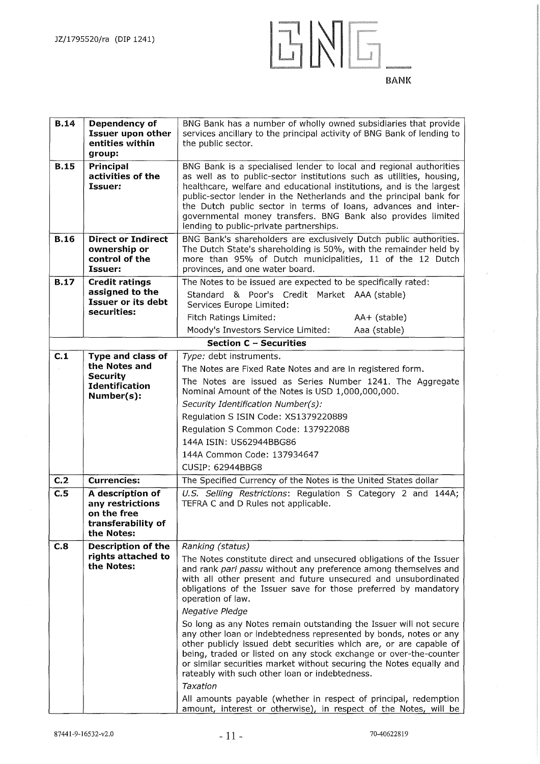

| <b>B.14</b>                    | Dependency of<br><b>Issuer upon other</b><br>entities within<br>group:                                                                                                                                        | BNG Bank has a number of wholly owned subsidiaries that provide<br>services ancillary to the principal activity of BNG Bank of lending to<br>the public sector.                                                                                                                                                                                                                                                                                                                                                                                                                                                                                                                                                                                                                                                                                                                                            |  |  |  |
|--------------------------------|---------------------------------------------------------------------------------------------------------------------------------------------------------------------------------------------------------------|------------------------------------------------------------------------------------------------------------------------------------------------------------------------------------------------------------------------------------------------------------------------------------------------------------------------------------------------------------------------------------------------------------------------------------------------------------------------------------------------------------------------------------------------------------------------------------------------------------------------------------------------------------------------------------------------------------------------------------------------------------------------------------------------------------------------------------------------------------------------------------------------------------|--|--|--|
| <b>B.15</b>                    | Principal<br>activities of the<br>Issuer:                                                                                                                                                                     | BNG Bank is a specialised lender to local and regional authorities<br>as well as to public-sector institutions such as utilities, housing,<br>healthcare, welfare and educational institutions, and is the largest<br>public-sector lender in the Netherlands and the principal bank for<br>the Dutch public sector in terms of loans, advances and inter-<br>governmental money transfers. BNG Bank also provides limited<br>lending to public-private partnerships.                                                                                                                                                                                                                                                                                                                                                                                                                                      |  |  |  |
| <b>B.16</b>                    | <b>Direct or Indirect</b><br>ownership or<br>control of the<br>Issuer:                                                                                                                                        | BNG Bank's shareholders are exclusively Dutch public authorities.<br>The Dutch State's shareholding is 50%, with the remainder held by<br>more than 95% of Dutch municipalities, 11 of the 12 Dutch<br>provinces, and one water board.                                                                                                                                                                                                                                                                                                                                                                                                                                                                                                                                                                                                                                                                     |  |  |  |
| <b>B.17</b>                    | <b>Credit ratings</b><br>assigned to the<br>Issuer or its debt<br>securities:                                                                                                                                 | The Notes to be issued are expected to be specifically rated:<br>Standard & Poor's Credit Market AAA (stable)<br>Services Europe Limited:<br>Fitch Ratings Limited:<br>AA+ (stable)<br>Moody's Investors Service Limited:<br>Aaa (stable)                                                                                                                                                                                                                                                                                                                                                                                                                                                                                                                                                                                                                                                                  |  |  |  |
|                                |                                                                                                                                                                                                               | <b>Section C - Securities</b>                                                                                                                                                                                                                                                                                                                                                                                                                                                                                                                                                                                                                                                                                                                                                                                                                                                                              |  |  |  |
| C.1<br>C <sub>1</sub> 2<br>C.5 | Type and class of<br>the Notes and<br><b>Security</b><br><b>Identification</b><br>Number(s):<br><b>Currencies:</b><br>A description of<br>any restrictions<br>on the free<br>transferability of<br>the Notes: | Type: debt instruments.<br>The Notes are Fixed Rate Notes and are in registered form.<br>The Notes are issued as Series Number 1241. The Aggregate<br>Nominal Amount of the Notes is USD 1,000,000,000.<br>Security Identification Number(s):<br>Regulation S ISIN Code: XS1379220889<br>Regulation S Common Code: 137922088<br>144A ISIN: US62944BBG86<br>144A Common Code: 137934647<br>CUSIP: 62944BBG8<br>The Specified Currency of the Notes is the United States dollar<br>U.S. Selling Restrictions: Regulation S Category 2 and 144A;<br>TEFRA C and D Rules not applicable.                                                                                                                                                                                                                                                                                                                       |  |  |  |
| C.8                            | <b>Description of the</b><br>rights attached to<br>the Notes:                                                                                                                                                 | Ranking (status)<br>The Notes constitute direct and unsecured obligations of the Issuer<br>and rank pari passu without any preference among themselves and<br>with all other present and future unsecured and unsubordinated<br>obligations of the Issuer save for those preferred by mandatory<br>operation of law.<br>Negative Pledge<br>So long as any Notes remain outstanding the Issuer will not secure<br>any other loan or indebtedness represented by bonds, notes or any<br>other publicly issued debt securities which are, or are capable of<br>being, traded or listed on any stock exchange or over-the-counter<br>or similar securities market without securing the Notes equally and<br>rateably with such other loan or indebtedness.<br>Taxation<br>All amounts payable (whether in respect of principal, redemption<br>amount, interest or otherwise), in respect of the Notes, will be |  |  |  |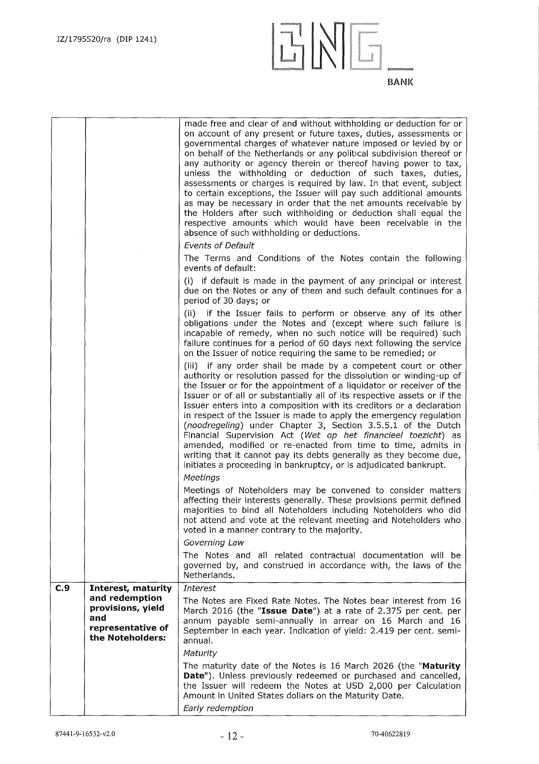

|     |                                                                                     | made free and clear of and without withholding or deduction for or<br>on account of any present or future taxes, duties, assessments or<br>governmental charges of whatever nature imposed or levied by or<br>on behalf of the Netherlands or any political subdivision thereof or<br>any authority or agency therein or thereof having power to tax,<br>unless the withholding or deduction of such taxes, duties,<br>assessments or charges is required by law. In that event, subject<br>to certain exceptions, the Issuer will pay such additional amounts<br>as may be necessary in order that the net amounts receivable by<br>the Holders after such withholding or deduction shall equal the<br>respective amounts which would have been receivable in the<br>absence of such withholding or deductions.<br><b>Events of Default</b> |
|-----|-------------------------------------------------------------------------------------|----------------------------------------------------------------------------------------------------------------------------------------------------------------------------------------------------------------------------------------------------------------------------------------------------------------------------------------------------------------------------------------------------------------------------------------------------------------------------------------------------------------------------------------------------------------------------------------------------------------------------------------------------------------------------------------------------------------------------------------------------------------------------------------------------------------------------------------------|
|     |                                                                                     | The Terms and Conditions of the Notes contain the following<br>events of default:                                                                                                                                                                                                                                                                                                                                                                                                                                                                                                                                                                                                                                                                                                                                                            |
|     |                                                                                     | (i) if default is made in the payment of any principal or interest<br>due on the Notes or any of them and such default continues for a<br>period of 30 days; or                                                                                                                                                                                                                                                                                                                                                                                                                                                                                                                                                                                                                                                                              |
|     |                                                                                     | (ii) if the Issuer fails to perform or observe any of its other<br>obligations under the Notes and (except where such failure is<br>incapable of remedy, when no such notice will be required) such<br>failure continues for a period of 60 days next following the service<br>on the Issuer of notice requiring the same to be remedied; or                                                                                                                                                                                                                                                                                                                                                                                                                                                                                                 |
|     |                                                                                     | (iii) if any order shall be made by a competent court or other<br>authority or resolution passed for the dissolution or winding-up of<br>the Issuer or for the appointment of a liquidator or receiver of the<br>Issuer or of all or substantially all of its respective assets or if the<br>Issuer enters into a composition with its creditors or a declaration<br>in respect of the Issuer is made to apply the emergency regulation<br>(noodregeling) under Chapter 3, Section 3.5.5.1 of the Dutch<br>Financial Supervision Act (Wet op het financieel toezicht) as<br>amended, modified or re-enacted from time to time, admits in<br>writing that it cannot pay its debts generally as they become due,<br>initiates a proceeding in bankruptcy, or is adjudicated bankrupt.                                                          |
|     |                                                                                     | Meetings<br>Meetings of Noteholders may be convened to consider matters<br>affecting their interests generally. These provisions permit defined<br>majorities to bind all Noteholders including Noteholders who did<br>not attend and vote at the relevant meeting and Noteholders who<br>voted in a manner contrary to the majority.                                                                                                                                                                                                                                                                                                                                                                                                                                                                                                        |
|     |                                                                                     | Governing Law                                                                                                                                                                                                                                                                                                                                                                                                                                                                                                                                                                                                                                                                                                                                                                                                                                |
|     |                                                                                     | The Notes and all related contractual documentation will be<br>governed by, and construed in accordance with, the laws of the<br>Netherlands.                                                                                                                                                                                                                                                                                                                                                                                                                                                                                                                                                                                                                                                                                                |
| C.9 | Interest, maturity                                                                  | <b>Interest</b>                                                                                                                                                                                                                                                                                                                                                                                                                                                                                                                                                                                                                                                                                                                                                                                                                              |
|     | and redemption<br>provisions, yield<br>and<br>representative of<br>the Noteholders: | The Notes are Fixed Rate Notes. The Notes bear interest from 16<br>March 2016 (the "Issue Date") at a rate of 2.375 per cent. per<br>annum payable semi-annually in arrear on 16 March and 16<br>September in each year. Indication of yield: 2.419 per cent. semi-<br>annual.                                                                                                                                                                                                                                                                                                                                                                                                                                                                                                                                                               |
|     |                                                                                     | Maturity<br>The maturity date of the Notes is 16 March 2026 (the "Maturity                                                                                                                                                                                                                                                                                                                                                                                                                                                                                                                                                                                                                                                                                                                                                                   |
|     |                                                                                     | Date"). Unless previously redeemed or purchased and cancelled,<br>the Issuer will redeem the Notes at USD 2,000 per Calculation<br>Amount in United States dollars on the Maturity Date.<br>Early redemption                                                                                                                                                                                                                                                                                                                                                                                                                                                                                                                                                                                                                                 |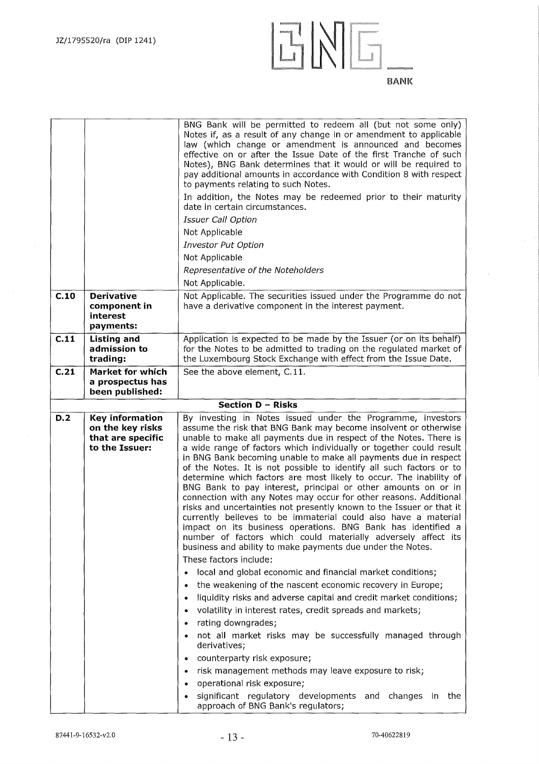

|      |                                                                            | BNG Bank will be permitted to redeem all (but not some only)<br>Notes if, as a result of any change in or amendment to applicable<br>law (which change or amendment is announced and becomes<br>effective on or after the Issue Date of the first Tranche of such<br>Notes), BNG Bank determines that it would or will be required to<br>pay additional amounts in accordance with Condition 8 with respect<br>to payments relating to such Notes.<br>In addition, the Notes may be redeemed prior to their maturity<br>date in certain circumstances.<br><b>Issuer Call Option</b><br>Not Applicable<br>Investor Put Option<br>Not Applicable<br>Representative of the Noteholders<br>Not Applicable.                                                                                                                                                                                                                                                                    |
|------|----------------------------------------------------------------------------|---------------------------------------------------------------------------------------------------------------------------------------------------------------------------------------------------------------------------------------------------------------------------------------------------------------------------------------------------------------------------------------------------------------------------------------------------------------------------------------------------------------------------------------------------------------------------------------------------------------------------------------------------------------------------------------------------------------------------------------------------------------------------------------------------------------------------------------------------------------------------------------------------------------------------------------------------------------------------|
| C.10 | <b>Derivative</b><br>component in<br>interest<br>payments:                 | Not Applicable. The securities issued under the Programme do not<br>have a derivative component in the interest payment.                                                                                                                                                                                                                                                                                                                                                                                                                                                                                                                                                                                                                                                                                                                                                                                                                                                  |
| C.11 | <b>Listing and</b>                                                         | Application is expected to be made by the Issuer (or on its behalf)                                                                                                                                                                                                                                                                                                                                                                                                                                                                                                                                                                                                                                                                                                                                                                                                                                                                                                       |
|      | admission to                                                               | for the Notes to be admitted to trading on the regulated market of                                                                                                                                                                                                                                                                                                                                                                                                                                                                                                                                                                                                                                                                                                                                                                                                                                                                                                        |
|      | trading:                                                                   | the Luxembourg Stock Exchange with effect from the Issue Date.                                                                                                                                                                                                                                                                                                                                                                                                                                                                                                                                                                                                                                                                                                                                                                                                                                                                                                            |
| C.21 | <b>Market for which</b>                                                    | See the above element, C.11.                                                                                                                                                                                                                                                                                                                                                                                                                                                                                                                                                                                                                                                                                                                                                                                                                                                                                                                                              |
|      | a prospectus has                                                           |                                                                                                                                                                                                                                                                                                                                                                                                                                                                                                                                                                                                                                                                                                                                                                                                                                                                                                                                                                           |
|      | been published:                                                            |                                                                                                                                                                                                                                                                                                                                                                                                                                                                                                                                                                                                                                                                                                                                                                                                                                                                                                                                                                           |
|      |                                                                            | Section D - Risks                                                                                                                                                                                                                                                                                                                                                                                                                                                                                                                                                                                                                                                                                                                                                                                                                                                                                                                                                         |
|      |                                                                            |                                                                                                                                                                                                                                                                                                                                                                                                                                                                                                                                                                                                                                                                                                                                                                                                                                                                                                                                                                           |
| D.2  | Key information<br>on the key risks<br>that are specific<br>to the Issuer: | By investing in Notes issued under the Programme, investors<br>assume the risk that BNG Bank may become insolvent or otherwise<br>unable to make all payments due in respect of the Notes. There is<br>a wide range of factors which individually or together could result<br>in BNG Bank becoming unable to make all payments due in respect<br>of the Notes. It is not possible to identify all such factors or to<br>determine which factors are most likely to occur. The inability of<br>BNG Bank to pay interest, principal or other amounts on or in<br>connection with any Notes may occur for other reasons. Additional<br>risks and uncertainties not presently known to the Issuer or that it<br>currently believes to be immaterial could also have a material<br>impact on its business operations. BNG Bank has identified a<br>number of factors which could materially adversely affect its<br>business and ability to make payments due under the Notes. |
|      |                                                                            | These factors include:                                                                                                                                                                                                                                                                                                                                                                                                                                                                                                                                                                                                                                                                                                                                                                                                                                                                                                                                                    |
|      |                                                                            | local and global economic and financial market conditions;                                                                                                                                                                                                                                                                                                                                                                                                                                                                                                                                                                                                                                                                                                                                                                                                                                                                                                                |
|      |                                                                            | the weakening of the nascent economic recovery in Europe;                                                                                                                                                                                                                                                                                                                                                                                                                                                                                                                                                                                                                                                                                                                                                                                                                                                                                                                 |
|      |                                                                            | liquidity risks and adverse capital and credit market conditions;<br>$\bullet$                                                                                                                                                                                                                                                                                                                                                                                                                                                                                                                                                                                                                                                                                                                                                                                                                                                                                            |
|      |                                                                            | volatility in interest rates, credit spreads and markets;                                                                                                                                                                                                                                                                                                                                                                                                                                                                                                                                                                                                                                                                                                                                                                                                                                                                                                                 |
|      |                                                                            | rating downgrades;<br>$\bullet$                                                                                                                                                                                                                                                                                                                                                                                                                                                                                                                                                                                                                                                                                                                                                                                                                                                                                                                                           |
|      |                                                                            | not all market risks may be successfully managed through<br>derivatives;                                                                                                                                                                                                                                                                                                                                                                                                                                                                                                                                                                                                                                                                                                                                                                                                                                                                                                  |
|      |                                                                            | counterparty risk exposure;<br>۰                                                                                                                                                                                                                                                                                                                                                                                                                                                                                                                                                                                                                                                                                                                                                                                                                                                                                                                                          |
|      |                                                                            | risk management methods may leave exposure to risk;                                                                                                                                                                                                                                                                                                                                                                                                                                                                                                                                                                                                                                                                                                                                                                                                                                                                                                                       |
|      |                                                                            | operational risk exposure;                                                                                                                                                                                                                                                                                                                                                                                                                                                                                                                                                                                                                                                                                                                                                                                                                                                                                                                                                |